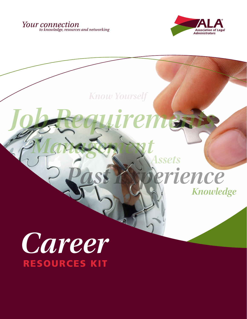



# *Career* RESOURCES KIT *Management* rience *Assets Know Yourself Job Requirements Knowledge*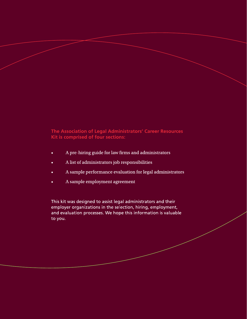## The Association of Legal Administrators' Career Resources Kit is comprised of four sections:

- A pre-hiring guide for law firms and administrators
- A list of administrators job responsibilities
- A sample performance evaluation for legal administrators
- A sample employment agreement

This kit was designed to assist legal administrators and their employer organizations in the selection, hiring, employment, and evaluation processes. We hope this information is valuable to you.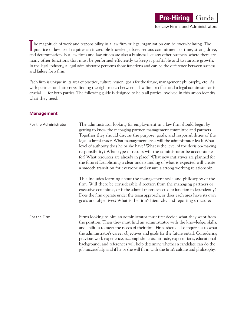## he magnitude of work and responsibility in a law firm or legal organization can be overwhelming. The practice of law itself requires an incredible knowledge base, serious commitment of time, strong drive, and determination. But law firms and law offices are also a business like any other business, where there are many other functions that must be performed efficiently to keep it profitable and to nurture growth. In the legal industry, a legal administrator performs those functions and can be the difference between success and failure for a firm.

**Pre-Hiring** Guide

for Law Firms and Administrators

Each firm is unique in its area of practice, culture, vision, goals for the future, management philosophy, etc. As with partners and attorneys, finding the right match between a law firm or office and a legal administrator is crucial — for both parties. The following guide is designed to help all parties involved in this union identify what they need.

#### **Management**

T

| For the Administrator | The administrator looking for employment in a law firm should begin by<br>getting to know the managing partner, management committee and partners.<br>Together they should discuss the purpose, goals, and responsibilities of the<br>legal administrator. What management areas will the administrator lead? What<br>level of authority does he or she have? What is the level of the decision-making<br>responsibility? What type of results will the administrator be accountable<br>for? What resources are already in place? What new initiatives are planned for<br>the future? Establishing a clear understanding of what is expected will create<br>a smooth transition for everyone and ensure a strong working relationship.<br>This includes learning about the management style and philosophy of the<br>firm. Will there be considerable direction from the managing partners or<br>executive committee, or is the administrator expected to function independently?<br>Does the firm operate under the team approach, or does each area have its own<br>goals and objectives? What is the firm's hierarchy and reporting structure? |
|-----------------------|---------------------------------------------------------------------------------------------------------------------------------------------------------------------------------------------------------------------------------------------------------------------------------------------------------------------------------------------------------------------------------------------------------------------------------------------------------------------------------------------------------------------------------------------------------------------------------------------------------------------------------------------------------------------------------------------------------------------------------------------------------------------------------------------------------------------------------------------------------------------------------------------------------------------------------------------------------------------------------------------------------------------------------------------------------------------------------------------------------------------------------------------------|
| For the Firm          | Firms looking to hire an administrator must first decide what they want from<br>the position. Then they must find an administrator with the knowledge, skills,<br>and abilities to meet the needs of their firm. Firms should also inquire as to what<br>the administrator's career objectives and goals for the future entail. Considering<br>previous work experience, accomplishments, attitude, expectations, educational<br>background, and references will help determine whether a candidate can do the<br>job successfully, and if he or she will fit in with the firm's culture and philosophy.                                                                                                                                                                                                                                                                                                                                                                                                                                                                                                                                          |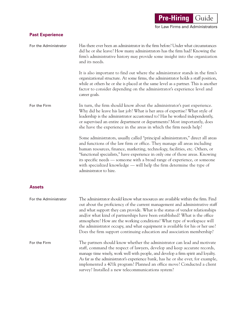**Pre-Hiring Guide** 

for Law Firms and Administrators

## **Past Experience**

| For the Administrator | Has there ever been an administrator in the firm before? Under what circumstances<br>did he or she leave? How many administrators has the firm had? Knowing the<br>firm's administrative history may provide some insight into the organization<br>and its needs.<br>It is also important to find out where the administrator stands in the firm's<br>organizational structure. At some firms, the administrator holds a staff position,<br>while at others he or she is placed at the same level as a partner. This is another<br>factor to consider depending on the administrator's experience level and<br>career goals. |
|-----------------------|------------------------------------------------------------------------------------------------------------------------------------------------------------------------------------------------------------------------------------------------------------------------------------------------------------------------------------------------------------------------------------------------------------------------------------------------------------------------------------------------------------------------------------------------------------------------------------------------------------------------------|
| For the Firm          | In turn, the firm should know about the administrator's past experience.<br>Why did he leave his last job? What is her area of expertise? What style of<br>leadership is the administrator accustomed to? Has he worked independently,<br>or supervised an entire department or departments? Most importantly, does<br>she have the experience in the areas in which the firm needs help?                                                                                                                                                                                                                                    |
|                       | Some administrators, usually called "principal administrators," direct all areas<br>and functions of the law firm or office. They manage all areas including<br>human resources, finance, marketing, technology, facilities, etc. Others, or<br>"functional specialists," have experience in only one of those areas. Knowing<br>its specific needs — someone with a broad range of experience, or someone<br>with specialized knowledge — will help the firm determine the type of<br>administrator to hire.                                                                                                                |
| <b>Assets</b>         |                                                                                                                                                                                                                                                                                                                                                                                                                                                                                                                                                                                                                              |
| For the Administrator | The administrator should know what resources are available within the firm. Find<br>out about the proficiency of the current management and administrative staff<br>and what support they can provide. What is the status of vendor relationships<br>and/or what kind of partnerships have been established? What is the office<br>atmosphere? How are the working conditions? What type of workspace will<br>the administrator occupy, and what equipment is available for his or her use?<br>Does the firm support continuing education and association membership?                                                        |
| For the Firm          | The partners should know whether the administrator can lead and motivate<br>staff, command the respect of lawyers, develop and keep accurate records,<br>manage time wisely, work well with people, and develop a firm spirit and loyalty.<br>As far as the administrator's experience bank, has he or she ever, for example,<br>implemented a 401k program? Planned an office move? Conducted a client<br>survey? Installed a new telecommunications system?                                                                                                                                                                |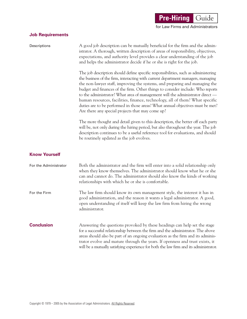## **Job Requirements**

| Descriptions          | A good job description can be mutually beneficial for the firm and the admin-<br>istrator. A thorough, written description of areas of responsibility, objectives,<br>expectations, and authority level provides a clear understanding of the job<br>and helps the administrator decide if he or she is right for the job.                                                                                                                                                                                                                                                                                                                     |
|-----------------------|------------------------------------------------------------------------------------------------------------------------------------------------------------------------------------------------------------------------------------------------------------------------------------------------------------------------------------------------------------------------------------------------------------------------------------------------------------------------------------------------------------------------------------------------------------------------------------------------------------------------------------------------|
|                       | The job description should define specific responsibilities, such as administering<br>the business of the firm, interacting with current department managers, managing<br>the non-lawyer staff, improving the systems, and preparing and managing the<br>budget and finances of the firm. Other things to consider include: Who reports<br>to the administrator? What area of management will the administrator direct —<br>human resources, facilities, finance, technology, all of them? What specific<br>duties are to be performed in those areas? What annual objectives must be met?<br>Are there any special projects that may come up? |
|                       | The more thought and detail given to this description, the better off each party<br>will be, not only during the hiring period, but also throughout the year. The job<br>description continues to be a useful reference tool for evaluations, and should<br>be routinely updated as the job evolves.                                                                                                                                                                                                                                                                                                                                           |
| <b>Know Yourself</b>  |                                                                                                                                                                                                                                                                                                                                                                                                                                                                                                                                                                                                                                                |
| For the Administrator | Both the administrator and the firm will enter into a solid relationship only<br>when they know themselves. The administrator should know what he or she<br>can and cannot do. The administrator should also know the kinds of working<br>relationships with which he or she is comfortable.                                                                                                                                                                                                                                                                                                                                                   |
| For the Firm          | The law firm should know its own management style, the interest it has in<br>good administration, and the reason it wants a legal administrator. A good,<br>open understanding of itself will keep the law firm from hiring the wrong<br>administrator.                                                                                                                                                                                                                                                                                                                                                                                        |
| <b>Conclusion</b>     | Answering the questions provoked by these headings can help set the stage<br>for a successful relationship between the firm and the administrator. The above<br>areas should also be part of an ongoing evaluation as the firm and its adminis-<br>trator evolve and mature through the years. If openness and trust exists, it<br>will be a mutually satisfying experience for both the law firm and its administrator.                                                                                                                                                                                                                       |

**Pre-Hiring Guide** 

for Law Firms and Administrators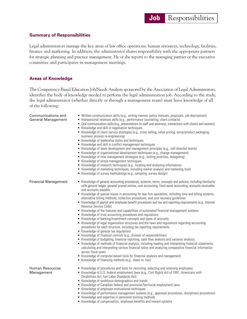#### **Summary of Responsibilities**

Legal administrators manage the key areas of law office operations: human resources, technology, facilities, finance and marketing. In addition, the administrator shares responsibility with the appropriate partners for strategic planning and practice management. He or she reports to the managing partner or the executive committee and participates in management meetings.

#### **Areas of Knowledge**

The Competency-Based Education Job/Needs Analysis sponsored by the Association of Legal Administrators, identifies the body of knowledge needed to perform the legal administration job. According to the study, the legal administrator (whether directly or through a management team) must have knowledge of all of the following:

| Communications and<br><b>General Management</b> | • Written communication skills (e.g., writing memos, policy manuals, proposals, job descriptions)<br>• Interpersonal relations skills (e.g., performance counseling, client contacts)<br>• Oral communication skills (e.g., presentations to staff and attorneys, interactions with clients and vendors)<br>• Knowledge and skill in negotiation techniques<br>• Knowledge of client service strategies (e.g., cross selling, value pricing, serve/product packaging,<br>business process re-engineering)<br>• Knowledge of leadership styles and techniques<br>• Knowledge and skill in conflict management techniques<br>• Knowledge of team development and management principles (e.g., self-directed teams)<br>• Knowledge of organizational development techniques (e.g., change management)<br>• Knowledge of time management strategies (e.g., setting priorities, delegating)<br>• Knowledge of stress management techniques<br>• Knowledge of research techniques (e.g., locating and analyzing information)<br>• Knowledge of marketing techniques, including market analysis and marketing tools<br>• Knowledge of survey methodology (e.g., sampling, survey design)                                                                                                                                                                                                                                                                                                                                                                                                           |
|-------------------------------------------------|---------------------------------------------------------------------------------------------------------------------------------------------------------------------------------------------------------------------------------------------------------------------------------------------------------------------------------------------------------------------------------------------------------------------------------------------------------------------------------------------------------------------------------------------------------------------------------------------------------------------------------------------------------------------------------------------------------------------------------------------------------------------------------------------------------------------------------------------------------------------------------------------------------------------------------------------------------------------------------------------------------------------------------------------------------------------------------------------------------------------------------------------------------------------------------------------------------------------------------------------------------------------------------------------------------------------------------------------------------------------------------------------------------------------------------------------------------------------------------------------------------------------------------------------------------------------------------------------|
| <b>Financial Management</b>                     | • Knowledge of general accounting procedures, systems, terms, concepts and policies, including familiarity<br>with general ledger, general journal entries, cost accounting, fixed asset accounting, accounts receivable<br>and accounts payable<br>• Knowledge of special issues in accounting for law firm operations, including time and billing systems,<br>alternative billing methods, collection procedures, and cost recovery guidelines<br>• Knowledge of payroll and employee benefit procedures and tax and reporting requirements (e.g., Internal<br>Revenue Service Code)<br>• Knowledge of the features and capabilities of automated financial management systems<br>• Knowledge of trust accounting procedures and regulations<br>• Knowledge of banking/investment concepts and types of accounts<br>• Knowledge of legal organization structures and the laws and regulations regarding accounting<br>procedures for each structure, including tax reporting requirements<br>• Knowledge of general tax regulations<br>• Knowledge of financial controls (e.g., division of responsibilities)<br>• Knowledge of budgeting, financial reporting, cash flow analysis and variance analysis<br>• Knowledge of methods of financial analysis, including reading and interpreting financial statements,<br>calculating and interpreting various financial ratios and analyzing comparative financial information<br>across fiscal years<br>• Knowledge of computer-based tools for financial analysis and management<br>• Knowledge of financing methods (e.g., lease vs. buy) |
| <b>Human Resources</b><br>Management            | • Knowledge of procedures and tools for recruiting, selecting and retaining employees<br>• Knowledge of U.S. federal employment laws (e.g., Civil Rights Act of 1991, Americans with<br>Disabilities Act, Fair Labor Standards Act)<br>• Knowledge of workforce demographics and trends<br>• Knowledge of Canadian federal and provincial/territorial employment laws<br>• Knowledge of employee motivational techniques<br>• Knowledge of performance management systems (e.g., appraisal procedures, disciplinary procedures)<br>• Knowledge and expertise in personnel training methods<br>• Knowledge of compensation, employee benefits and reward systems                                                                                                                                                                                                                                                                                                                                                                                                                                                                                                                                                                                                                                                                                                                                                                                                                                                                                                                             |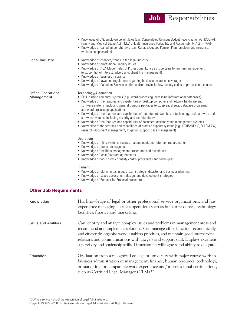|                                        | • Knowledge of U.S. employee benefit laws (e.g., Consolidated Omnibus Budget Reconciliation Act [COBRA],<br>Family and Medical Leave Act [FMLA], Health Insurance Portability and Accountability Act [HIPAA])<br>• Knowledge of Canadian benefit laws (e.g., Canada/Quebec Pension Plan, employment insurance,<br>workers compensation)                                                                                                                                                                                                                                                                                                                                                                                                                                                                                                                                                                                                                                                                                                                                                                                                                                                                                                                                                                                                                                  |  |
|----------------------------------------|--------------------------------------------------------------------------------------------------------------------------------------------------------------------------------------------------------------------------------------------------------------------------------------------------------------------------------------------------------------------------------------------------------------------------------------------------------------------------------------------------------------------------------------------------------------------------------------------------------------------------------------------------------------------------------------------------------------------------------------------------------------------------------------------------------------------------------------------------------------------------------------------------------------------------------------------------------------------------------------------------------------------------------------------------------------------------------------------------------------------------------------------------------------------------------------------------------------------------------------------------------------------------------------------------------------------------------------------------------------------------|--|
| Legal Industry                         | • Knowledge of changes/trends in the legal industry<br>• Knowledge of professional liability issues<br>• Knowledge of ABA Model Rules of Professional Ethics as it pertains to law firm management<br>(e.g., conflict of interest, advertising, client file management)<br>• Knowledge of business insurance<br>• Knowledge of laws and regulations regarding business insurance coverages<br>• Knowledge of Canadian Bar Association and/or provincial law society codes of professional conduct                                                                                                                                                                                                                                                                                                                                                                                                                                                                                                                                                                                                                                                                                                                                                                                                                                                                        |  |
| <b>Office Operations</b><br>Management | Technology/Automation<br>• Skill in using computer systems (e.g., word processing, accessing informational databases)<br>• Knowledge of the features and capabilities of desktop computer and network hardware and<br>software systems, including general purpose packages (e.g., spreadsheets, database programs,<br>and word processing applications)<br>• Knowledge of the features and capabilities of the Internet, web-based technology, and hardware and<br>software systems, including security and confidentiality<br>• Knowledge of the features and capabilities of document assembly and management systems<br>• Knowledge of the features and capabilities of practice support systems (e.g., LEXIS/NEXIS, QUICKLAW,<br>research, document management, litigation support, case management)<br><b>Operations</b><br>• Knowledge of filing systems, records management, and retention requirements<br>• Knowledge of project management<br>• Knowledge of facilities management procedures and techniques<br>• Knowledge of lease/contract agreements<br>• Knowledge of work product quality control procedures and techniques<br>Planning<br>• Knowledge of planning techniques (e.g., strategic, disaster, and business planning)<br>• Knowledge of space assessment, design, and development strategies<br>• Knowledge of Request for Proposal procedures |  |
| <b>Other Job Requirements</b>          |                                                                                                                                                                                                                                                                                                                                                                                                                                                                                                                                                                                                                                                                                                                                                                                                                                                                                                                                                                                                                                                                                                                                                                                                                                                                                                                                                                          |  |
| Knowledge                              | Has knowledge of legal or other professional service organizations, and has<br>experience managing business operations such as human resources, technology,<br>facilities, finance and marketing.                                                                                                                                                                                                                                                                                                                                                                                                                                                                                                                                                                                                                                                                                                                                                                                                                                                                                                                                                                                                                                                                                                                                                                        |  |
| <b>Skills and Abilities</b>            | Can identify and analyze complex issues and problems in management areas and<br>recommend and implement solutions. Can manage office functions economically                                                                                                                                                                                                                                                                                                                                                                                                                                                                                                                                                                                                                                                                                                                                                                                                                                                                                                                                                                                                                                                                                                                                                                                                              |  |

and efficiently, organize work, establish priorities, and maintain good interpersonal relations and communications with lawyers and support staff. Displays excellent supervisory and leadership skills. Demonstrates willingness and ability to delegate.

Education Graduation from a recognized college or university with major course work in business administration or management, finance, human resources, technology, or marketing, or comparable work experience and/or professional certifications, such as Certified Legal Manager (CLM)SM\*.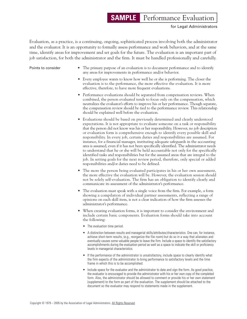## **SAMPLE** Performance Evaluation

for Legal Administrators

Evaluation, as a practice, is a continuing, ongoing, sophisticated process involving both the administrator and the evaluator. It is an opportunity to formally assess performance and work behaviors, and at the same time, identify areas for improvement and set goals for the future. The evaluation is an important part of job satisfaction, for both the administrator and the firm. It must be handled professionally and carefully.

- **Points to consider •** The primary purpose of an evaluation is to document performance and to identify any areas for improvements in performance and/or behavior.
	- Every employee wants to know how well he or she is performing. The closer the evaluation is to the performance, the more effective the evaluation. It is more effective, therefore, to have more frequent evaluations.
	- Performance evaluations should be separated from compensation reviews. When combined, the person evaluated tends to focus only on the compensation, which neutralizes the evaluator's efforts to improve his or her performance. Though separate, the compensation review should be tied to the performance review. This relationship should be explained well before the evaluation.
	- Evaluations should be based on previously determined and clearly understood expectations. It is not appropriate to evaluate someone on a task or responsibility that the person did not know was his or her responsibility. However, no job description or evaluation form is comprehensive enough to identify every possible skill and responsibility. In every job, certain duties and responsibilities are assumed. For instance, for a financial manager, instituting adequate safeguards in the accounting area is assumed, even if it has not been specifically identified. The administrator needs to understand that he or she will be held accountable not only for the specifically identified tasks and responsibilities but for the assumed areas that are integral to the job. In setting goals for the next review period, therefore, only special or added responsibilities and/or duties need to be defined.
	- The more the person being evaluated participates in his or her own assessment, the more effective the evaluation will be. However, the evaluation session should not be solely self-evaluation. The firm has an obligation to identify clearly and communicate its assessment of the administrator's performance.
	- The evaluation must speak with a single voice from the firm. For example, a form showing a compilation of individual partner assessments, reflecting a range of opinions on each skill item, is not a clear indication of how the firm assesses the administrator's performance.
	- When creating evaluation forms, it is important to consider the environment and include certain basic components. Evaluation forms should take into account the following:
		- The evaluation time period.
		- A distinction between results and managerial skills/attributes/characteristics. One can, for instance, achieve short-term results, (e.g., reorganize the file room) but do so in a way that alienates and eventually causes some valuable people to leave the firm. Include a space to identify the satisfactory accomplishments during the evaluation period as well as a space to indicate the skill or proficiency levels in managerial characteristics.
		- If the performance of the administrator is unsatisfactory, include space to clearly identify what the firm expects of the administrator to bring performance to satisfactory levels and the time frame in which this is to be accomplished.
		- Include space for the evaluator and the administrator to date and sign the form. As good practice, the evaluator is encouraged to provide the administrator with his or her own copy of the completed form. Also, the administrator should be allowed to comment or provide his or her own statement (supplement) to the form as part of the evaluation. The supplement should be attached to the document so the evaluator may respond to statements made in the supplement.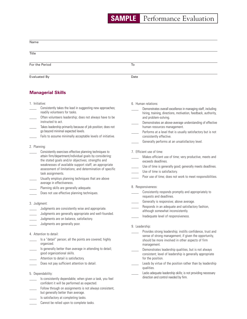| Name                                                                                                                                                                                                                                                                                                                                                                                                                                                                                                           |                                                                                                                                                                                                                                                                                                                                                                                                                      |  |  |
|----------------------------------------------------------------------------------------------------------------------------------------------------------------------------------------------------------------------------------------------------------------------------------------------------------------------------------------------------------------------------------------------------------------------------------------------------------------------------------------------------------------|----------------------------------------------------------------------------------------------------------------------------------------------------------------------------------------------------------------------------------------------------------------------------------------------------------------------------------------------------------------------------------------------------------------------|--|--|
| Title                                                                                                                                                                                                                                                                                                                                                                                                                                                                                                          |                                                                                                                                                                                                                                                                                                                                                                                                                      |  |  |
| For the Period                                                                                                                                                                                                                                                                                                                                                                                                                                                                                                 | To                                                                                                                                                                                                                                                                                                                                                                                                                   |  |  |
| Evaluated By                                                                                                                                                                                                                                                                                                                                                                                                                                                                                                   | Date                                                                                                                                                                                                                                                                                                                                                                                                                 |  |  |
| <b>Managerial Skills</b>                                                                                                                                                                                                                                                                                                                                                                                                                                                                                       |                                                                                                                                                                                                                                                                                                                                                                                                                      |  |  |
| 1. Initiative:<br>Consistently takes the lead in suggesting new approaches;<br>readily volunteers for tasks.<br>Often volunteers leadership; does not always have to be<br>instructed to act.<br>Takes leadership primarily because of job position; does not<br>go beyond minimal expected levels.<br>Fails to assume minimally acceptable levels of initiative.                                                                                                                                              | 6. Human relations:<br>Demonstrates overall excellence in managing staff, including<br>hiring, training, directions, motivation, feedback, authority,<br>and problem-solving.<br>Demonstrates an above-average understanding of effective<br>human resources management.<br>Performs at a level that is usually satisfactory but is not<br>consistently effective.<br>Generally performs at an unsatisfactory level. |  |  |
| 2. Planning:<br>Consistently exercises effective planning techniques to<br>attain firm/department/individual goals by considering:<br>the stated goals and/or objectives; strengths and<br>weaknesses of available support staff; an appropriate<br>assessment of limitations; and determination of specific<br>task assignments.<br>Usually employs planning techniques that are above<br>average in effectiveness.<br>Planning skills are generally adequate.<br>Does not use effective planning techniques. | 7. Efficient use of time:<br>Makes efficient use of time; very productive, meets and<br>exceeds deadlines.<br>Use of time is generally good; generally meets deadlines.<br>Use of time is satisfactory.<br>Poor use of time; does not work to meet responsibilities.<br>8. Responsiveness:<br>Consistently responds promptly and appropriately to<br>requests and deadlines.                                         |  |  |
| 3. Judgment:<br>Judgments are consistently wise and appropriate.<br>Judgments are generally appropriate and well-founded.<br>Judgments are on balance, satisfactory.<br>Judgments are generally poor.                                                                                                                                                                                                                                                                                                          | Generally is responsive; above average.<br>Responds in an adequate and satisfactory fashion,<br>although somewhat inconsistently.<br>Inadequate level of responsiveness.<br>9. Leadership:                                                                                                                                                                                                                           |  |  |
| 4. Attention to detail:<br>Is a "detail" person; all the points are covered; highly<br>organized.<br>Is generally better than average in attending to detail;<br>good organizational skills.                                                                                                                                                                                                                                                                                                                   | Provides strong leadership; instills confidence, trust and<br>sense of strong management; if given the opportunity,<br>should be more involved in other aspects of firm<br>management.<br>Demonstrates leadership qualities, but is not always<br>consistent; level of leadership is generally appropriate                                                                                                           |  |  |
| Attention to detail is satisfactory.<br>Does not pay sufficient attention to detail.<br>5. Dependability:<br>Is consistently dependable; when given a task, you feel<br>confident it will be performed as expected.                                                                                                                                                                                                                                                                                            | for the position.<br>Leads by virtue of the position rather than by leadership<br>qualities.<br>Lacks adequate leadership skills; is not providing necessary<br>direction and control needed by firm.                                                                                                                                                                                                                |  |  |

- Follow through on assignments is not always consistent, but generally better than average.
- Is satisfactory at completing tasks.
- **\_\_\_\_\_** Cannot be relied upon to complete tasks.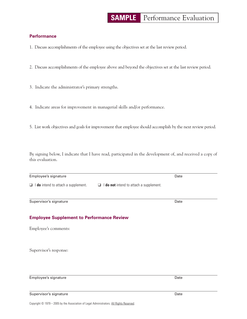## **SAMPLE** Performance Evaluation

### **Performance**

1. Discuss accomplishments of the employee using the objectives set at the last review period.

2. Discuss accomplishments of the employee above and beyond the objectives set at the last review period.

3. Indicate the administrator's primary strengths.

4. Indicate areas for improvement in managerial skills and/or performance.

5. List work objectives and goals for improvement that employee should accomplish by the next review period.

By signing below, I indicate that I have read, participated in the development of, and received a copy of this evaluation.

Employee's signature Date

❑ I **do** intend to attach a supplement. ❑ I **do not** intend to attach a supplement.

**Employee Supplement to Performance Review**

Supervisor's response:

Employee's comments:

Employee's signature Date

Supervisor's signature **Date** Date of the Date of the Date of the Date of the Date of the Date of the Date of the Date of the Date of the Date of the Date of the Date of the Date of the Date of the Date of the Date of the

Supervisor's signature Date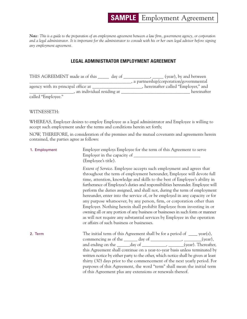*Note: This is a guide to the preparation of an employment agreement between a law firm, government agency, or corporation and a legal administrator. It is important for the administrator to consult with his or her own legal advisor before signing any employment agreement.*

#### **LEGAL ADMINISTRATOR EMPLOYMENT AGREEMENT**

| THIS AGREEMENT made as of this<br>day of | (year), by and between                   |
|------------------------------------------|------------------------------------------|
|                                          | , a partnership/corporation/governmental |
| agency with its principal office at      | hereinafter called "Employer," and       |
| an individual residing at                | hereinafter                              |
| called "Employee."                       |                                          |

WITNESSETH:

WHEREAS, Employer desires to employ Employee as a legal administrator and Employee is willing to accept such employment under the terms and conditions herein set forth;

NOW, THEREFORE, in consideration of the premises and the mutual covenants and agreements herein contained, the parties agree as follows:

| 1. Employment | Employer employs Employee for the term of this Agreement to serve<br>(Employee's title).                                                                                                                                                                                                                                                                                                                                                                                                                                                                                                                                                                                                                                                                                                                                                  |
|---------------|-------------------------------------------------------------------------------------------------------------------------------------------------------------------------------------------------------------------------------------------------------------------------------------------------------------------------------------------------------------------------------------------------------------------------------------------------------------------------------------------------------------------------------------------------------------------------------------------------------------------------------------------------------------------------------------------------------------------------------------------------------------------------------------------------------------------------------------------|
|               | Extent of Service. Employee accepts such employment and agrees that<br>throughout the term of employment hereunder, Employee will devote full<br>time, attention, knowledge and skills to the best of Employee's ability in<br>furtherance of Employee's duties and responsibilities hereunder. Employee will<br>perform the duties assigned, and shall not, during the term of employment<br>hereunder, enter into the service of, or be employed in any capacity or for<br>any purpose whatsoever, by any person, firm, or corporation other than<br>Employer. Nothing herein shall prohibit Employee from investing in or<br>owning all or any portion of any business or businesses in such form or manner<br>as will not require any substantial services by Employee in the operation<br>or affairs of such business or businesses. |
| 2. Term       | The initial term of this Agreement shall be for a period of $\_\_\_$ year(s),<br>commencing as of the <u>same day of success</u> , <u>success</u> , <u>success</u> , (year),<br>and ending on the _______ day of ______________, _______(year). Thereafter,<br>this Agreement shall continue on a year-to-year basis unless terminated by<br>written notice by either party to the other, which notice shall be given at least<br>thirty (30) days prior to the commencement of the next yearly period. For<br>purposes of this Agreement, the word "term" shall mean the initial term<br>of this Agreement plus any extensions or renewals thereof.                                                                                                                                                                                      |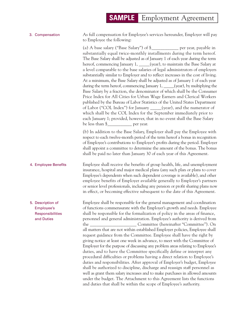| 3. Compensation | As full compensation for Employee's services hereunder, Employer will pay |
|-----------------|---------------------------------------------------------------------------|
|                 | to Employee the following:                                                |

(a) A base salary ("Base Salary") of \$\_\_\_\_\_\_\_\_\_\_\_\_ per year, payable in substantially equal twice-monthly installments during the term hereof. The Base Salary shall be adjusted as of January 1 of each year during the term hereof, commencing January 1, \_\_\_\_\_(year), to maintain the Base Salary at a level comparable to the base salaries of legal administrators of employers substantially similar to Employer and to reflect increases in the cost of living. At a minimum, the Base Salary shall be adjusted as of January 1 of each year during the term hereof, commencing January 1, \_\_\_\_\_(year), by multiplying the Base Salary by a fraction, the denominator of which shall be the Consumer Price Index for All Cities for Urban Wage Earners and Clerical Workers published by the Bureau of Labor Statistics of the United States Department of Labor ("COL Index") for January \_\_\_\_\_(year), and the numerator of which shall be the COL Index for the September immediately prior to each January 1; provided, however, that in no event shall the Base Salary be less than  $\frac{1}{2}$  per year.

(b) In addition to the Base Salary, Employer shall pay the Employee with respect to each twelve-month period of the term hereof a bonus in recognition of Employee's contributions to Employer's profits during the period. Employer shall appoint a committee to determine the amount of the bonus. The bonus shall be paid no later than January 30 of each year of this Agreement.

4. Employee Benefits Employee shall receive the benefits of group health, life, and unemployment insurance, hospital and major medical plans (any such plan or plans to cover Employee's dependents when such dependent coverage is available), and other employee benefits of Employer available generally to Employer's partners or senior level professionals, including any pension or profit sharing plans now in effect, or becoming effective subsequent to the date of this Agreement.

5. Description of Employee shall be responsible for the general management and coordination Employee's of functions commensurate with the Employer's growth and needs. Employee Responsibilities shall be responsible for the formalization of policy in the areas of finance, and Duties personnel and general administration. Employee's authority is derived from the \_\_\_\_\_\_\_\_\_\_\_\_\_\_\_\_\_\_\_\_\_ Committee (hereinafter "Committee"). On all matters that are not within established Employer policies, Employee shall request guidance from the Committee. Employee shall have the right by giving notice at least one week in advance, to meet with the Committee of Employer for the purpose of discussing any problem areas relating to Employee's duties, and to have the Committee specifically define or interpret any procedural difficulties or problems having a direct relation to Employee's duties and responsibilities. After approval of Employer's budget, Employee shall be authorized to discipline, discharge and reassign staff personnel as well as grant them salary increases and to make purchases in allowed amounts under the budget. The Attachment to this Agreement lists the functions and duties that shall be within the scope of Employee's authority.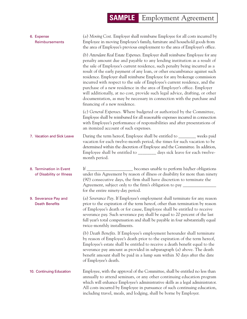| 6. Expense<br>Reimbursements                        | (a) Moving Cost. Employer shall reimburse Employee for all costs incurred by<br>Employee in moving Employee's family, furniture and household goods from<br>the area of Employee's previous employment to the area of Employer's office.                                                                                                                                                                                                                                                                                                                                                                                                                                                                                                              |
|-----------------------------------------------------|-------------------------------------------------------------------------------------------------------------------------------------------------------------------------------------------------------------------------------------------------------------------------------------------------------------------------------------------------------------------------------------------------------------------------------------------------------------------------------------------------------------------------------------------------------------------------------------------------------------------------------------------------------------------------------------------------------------------------------------------------------|
|                                                     | (b) Attendant Real Estate Expenses. Employer shall reimburse Employee for any<br>penalty amount due and payable to any lending institution as a result of<br>the sale of Employee's current residence, such penalty being incurred as a<br>result of the early payment of any loan, or other encumbrance against such<br>residence. Employer shall reimburse Employee for any brokerage commission<br>incurred with respect to the sale of Employee's current residence, and the<br>purchase of a new residence in the area of Employer's office. Employer<br>will additionally, at no cost, provide such legal advice, drafting, or other<br>documentation, as may be necessary in connection with the purchase and<br>financing of a new residence. |
|                                                     | (c) General Expenses. Where budgeted or authorized by the Committee,<br>Employee shall be reimbursed for all reasonable expenses incurred in connection<br>with Employee's performance of responsibilities and after presentations of<br>an itemized account of such expenses.                                                                                                                                                                                                                                                                                                                                                                                                                                                                        |
| 7. Vacation and Sick Leave                          | During the term hereof, Employee shall be entitled to ________ weeks paid<br>vacation for each twelve-month period, the times for such vacation to be<br>determined within the discretion of Employee and the Committee. In addition,<br>Employee shall be entitled to ________ days sick leave for each twelve-<br>month period.                                                                                                                                                                                                                                                                                                                                                                                                                     |
| 8. Termination in Event<br>of Disability or Illness | If __________________________ becomes unable to perform his/her obligations<br>under this Agreement by reason of illness or disability for more than ninety<br>(90) consecutive days, the firm shall have discretion to terminate the<br>Agreement, subject only to the firm's obligation to pay _______<br>for the entire ninety-day period.                                                                                                                                                                                                                                                                                                                                                                                                         |
| 9. Severance Pay and<br><b>Death Benefits</b>       | (a) Severance Pay. If Employee's employment shall terminate for any reason<br>prior to the expiration of the term hereof, other than termination by reason<br>of Employee's death or for cause, Employee shall be entitled to receive<br>severance pay. Such severance pay shall be equal to 20 percent of the last<br>full year's total compensation and shall be payable in four substantially equal<br>twice-monthly installments.                                                                                                                                                                                                                                                                                                                 |
|                                                     | (b) Death Benefits. If Employee's employment hereunder shall terminate<br>by reason of Employee's death prior to the expiration of the term hereof,<br>Employee's estate shall be entitled to receive a death benefit equal to the<br>severance pay amount as provided in subparagraph (a) above. The death<br>benefit amount shall be paid in a lump sum within 30 days after the date<br>of Employee's death.                                                                                                                                                                                                                                                                                                                                       |
| 10. Continuing Education                            | Employee, with the approval of the Committee, shall be entitled no less than<br>annually to attend seminars, or any other continuing education program<br>which will enhance Employee's administrative skills as a legal administrator.<br>All costs incurred by Employee in pursuance of such continuing education,<br>including travel, meals, and lodging, shall be borne by Employer.                                                                                                                                                                                                                                                                                                                                                             |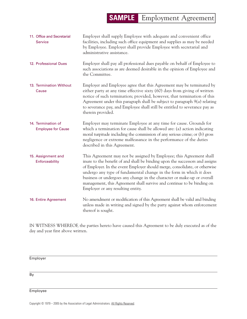| 11. Office and Secretarial<br><b>Service</b>    | Employer shall supply Employee with adequate and convenient office<br>facilities, including such office equipment and supplies as may be needed<br>by Employee. Employer shall provide Employee with secretarial and<br>administrative assistance.                                                                                                                                                                                                                                                  |
|-------------------------------------------------|-----------------------------------------------------------------------------------------------------------------------------------------------------------------------------------------------------------------------------------------------------------------------------------------------------------------------------------------------------------------------------------------------------------------------------------------------------------------------------------------------------|
| 12. Professional Dues                           | Employer shall pay all professional dues payable on behalf of Employee to<br>such associations as are deemed desirable in the opinion of Employee and<br>the Committee.                                                                                                                                                                                                                                                                                                                             |
| 13. Termination Without<br>Cause                | Employer and Employee agree that this Agreement may be terminated by<br>either party at any time effective sixty (60) days from giving of written<br>notice of such termination; provided, however, that termination of this<br>Agreement under this paragraph shall be subject to paragraph $9(a)$ relating<br>to severance pay, and Employee shall still be entitled to severance pay as<br>therein provided.                                                                                     |
| 14. Termination of<br><b>Employee for Cause</b> | Employer may terminate Employee at any time for cause. Grounds for<br>which a termination for cause shall be allowed are: (a) action indicating<br>moral turpitude including the commission of any serious crime; or (b) gross<br>negligence or extreme malfeasance in the performance of the duties<br>described in this Agreement.                                                                                                                                                                |
| 15. Assignment and<br>Enforceability            | This Agreement may not be assigned by Employee; this Agreement shall<br>inure to the benefit of and shall be binding upon the successors and assigns<br>of Employer. In the event Employer should merge, consolidate, or otherwise<br>undergo any type of fundamental change in the form in which it does<br>business or undergoes any change in the character or make-up or overall<br>management, this Agreement shall survive and continue to be binding on<br>Employer or any resulting entity. |
| 16. Entire Agreement                            | No amendment or modification of this Agreement shall be valid and binding<br>unless made in writing and signed by the party against whom enforcement<br>thereof is sought.                                                                                                                                                                                                                                                                                                                          |

IN WITNESS WHEREOF, the parties hereto have caused this Agreement to be duly executed as of the day and year first above written.

**Employer** 

By

**Employee**